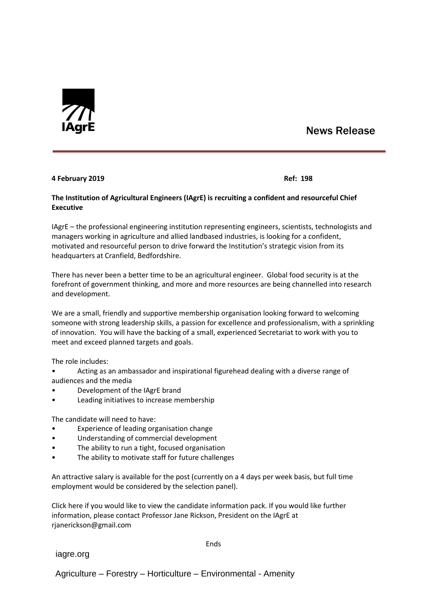

## News Release

## **4 February 2019 Ref: 198**

## **The Institution of Agricultural Engineers (IAgrE) is recruiting a confident and resourceful Chief Executive**

IAgrE – the professional engineering institution representing engineers, scientists, technologists and managers working in agriculture and allied landbased industries, is looking for a confident, motivated and resourceful person to drive forward the Institution's strategic vision from its headquarters at Cranfield, Bedfordshire.

There has never been a better time to be an agricultural engineer. Global food security is at the forefront of government thinking, and more and more resources are being channelled into research and development.

We are a small, friendly and supportive membership organisation looking forward to welcoming someone with strong leadership skills, a passion for excellence and professionalism, with a sprinkling of innovation. You will have the backing of a small, experienced Secretariat to work with you to meet and exceed planned targets and goals.

The role includes:

• Acting as an ambassador and inspirational figurehead dealing with a diverse range of audiences and the media

- Development of the IAgrE brand
- Leading initiatives to increase membership

The candidate will need to have:

- Experience of leading organisation change
- Understanding of commercial development
- The ability to run a tight, focused organisation
- The ability to motivate staff for future challenges

An attractive salary is available for the post (currently on a 4 days per week basis, but full time employment would be considered by the selection panel).

Click here if you would like to view the candidate information pack. If you would like further information, please contact Professor Jane Rickson, President on the IAgrE at rjanerickson@gmail.com

iagre.org

Ends